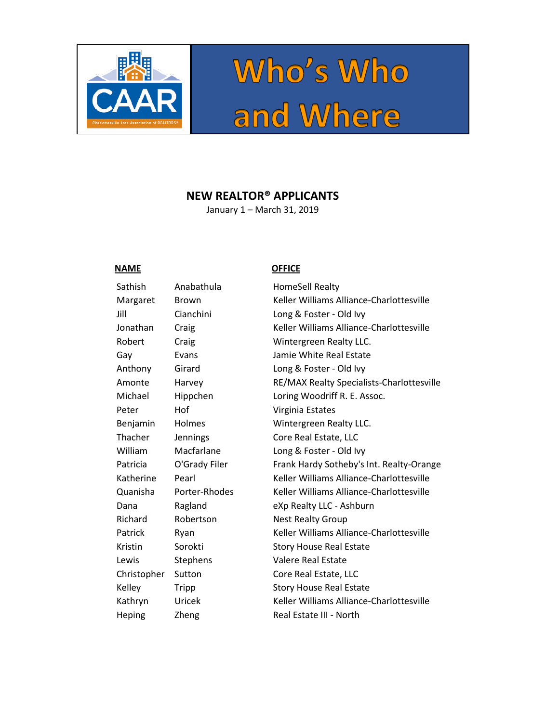

# Who's Who<br>and Where

# **NEW REALTOR® APPLICANTS**

January 1 – March 31, 2019

# **NAME OFFICE**

| Sathish     | Anabathula      | HomeSell Realty                |
|-------------|-----------------|--------------------------------|
| Margaret    | <b>Brown</b>    | Keller Williams Alliand        |
| Jill        | Cianchini       | Long & Foster - Old Iv         |
| Jonathan    | Craig           | <b>Keller Williams Alliand</b> |
| Robert      | Craig           | Wintergreen Realty LI          |
| Gay         | Evans           | Jamie White Real Esta          |
| Anthony     | Girard          | Long & Foster - Old Iv         |
| Amonte      | Harvey          | <b>RE/MAX Realty Specia</b>    |
| Michael     | Hippchen        | Loring Woodriff R. E.          |
| Peter       | Hof             | Virginia Estates               |
| Benjamin    | Holmes          | <b>Wintergreen Realty LI</b>   |
| Thacher     | Jennings        | Core Real Estate, LLC          |
| William     | Macfarlane      | Long & Foster - Old Iv         |
| Patricia    | O'Grady Filer   | Frank Hardy Sotheby's          |
| Katherine   | Pearl           | <b>Keller Williams Alliand</b> |
| Quanisha    | Porter-Rhodes   | Keller Williams Alliand        |
| Dana        | Ragland         | eXp Realty LLC - Ashb          |
| Richard     | Robertson       | <b>Nest Realty Group</b>       |
| Patrick     | Ryan            | Keller Williams Alliand        |
| Kristin     | Sorokti         | <b>Story House Real Esta</b>   |
| Lewis       | <b>Stephens</b> | Valere Real Estate             |
| Christopher | Sutton          | Core Real Estate, LLC          |
| Kelley      | <b>Tripp</b>    | <b>Story House Real Esta</b>   |
| Kathryn     | Uricek          | <b>Keller Williams Alliand</b> |
| Heping      | Zheng           | Real Estate III - North        |

Margaret Brown Keller Williams Alliance-Charlottesville Jill Cianchini Long & Foster - Old Ivy Jonathan Craig Keller Williams Alliance-Charlottesville Robert Craig Wintergreen Realty LLC. Gay Evans **Example 10** Jamie White Real Estate Anthony Girard Long & Foster - Old Ivy RE/MAX Realty Specialists-Charlottesville Michael Hippchen Loring Woodriff R. E. Assoc. Benjamin Holmes Wintergreen Realty LLC. Core Real Estate, LLC William Macfarlane Long & Foster - Old Ivy Patricia O'Grady Filer Frank Hardy Sotheby's Int. Realty-Orange Katherine Pearl Keller Williams Alliance-Charlottesville Quanisha Porter-Rhodes Keller Williams Alliance-Charlottesville Dana Ragland eXp Realty LLC - Ashburn Patrick Ryan Keller Williams Alliance-Charlottesville Kristin Sorokti Story House Real Estate Kelley Tripp Story House Real Estate Kathryn Uricek Keller Williams Alliance-Charlottesville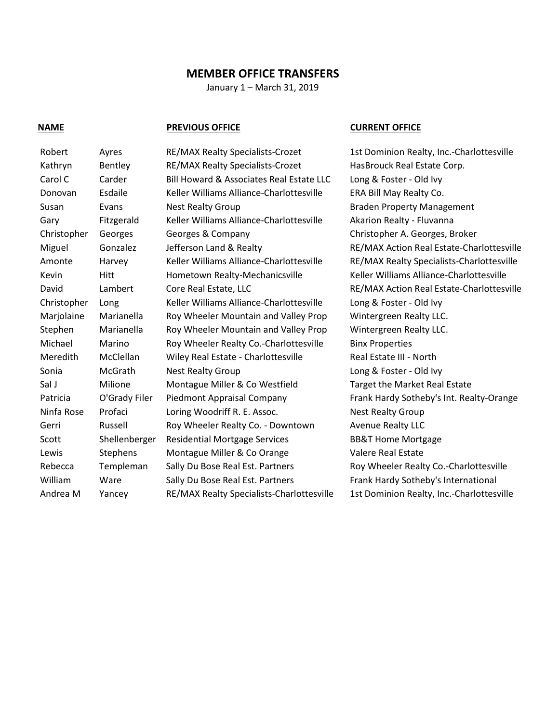# **MEMBER OFFICE TRANSFERS**

January 1 – March 31, 2019

## **NAME PREVIOUS OFFICE CURRENT OFFICE**

| Robert      | Ayres         | RE/MAX Realty Specialists-Crozet          | 1st Dominion Realty, Inc.-Charlottesville |
|-------------|---------------|-------------------------------------------|-------------------------------------------|
| Kathryn     | Bentley       | RE/MAX Realty Specialists-Crozet          | HasBrouck Real Estate Corp.               |
| Carol C     | Carder        | Bill Howard & Associates Real Estate LLC  | Long & Foster - Old Ivy                   |
| Donovan     | Esdaile       | Keller Williams Alliance-Charlottesville  | ERA Bill May Realty Co.                   |
| Susan       | Evans         | <b>Nest Realty Group</b>                  | <b>Braden Property Management</b>         |
| Gary        | Fitzgerald    | Keller Williams Alliance-Charlottesville  | Akarion Realty - Fluvanna                 |
| Christopher | Georges       | Georges & Company                         | Christopher A. Georges, Broker            |
| Miguel      | Gonzalez      | Jefferson Land & Realty                   | RE/MAX Action Real Estate-Charlottesville |
| Amonte      | Harvey        | Keller Williams Alliance-Charlottesville  | RE/MAX Realty Specialists-Charlottesville |
| Kevin       | Hitt          | Hometown Realty-Mechanicsville            | Keller Williams Alliance-Charlottesville  |
| David       | Lambert       | Core Real Estate, LLC                     | RE/MAX Action Real Estate-Charlottesville |
| Christopher | Long          | Keller Williams Alliance-Charlottesville  | Long & Foster - Old Ivy                   |
| Marjolaine  | Marianella    | Roy Wheeler Mountain and Valley Prop      | Wintergreen Realty LLC.                   |
| Stephen     | Marianella    | Roy Wheeler Mountain and Valley Prop      | Wintergreen Realty LLC.                   |
| Michael     | Marino        | Roy Wheeler Realty Co.-Charlottesville    | <b>Binx Properties</b>                    |
| Meredith    | McClellan     | Wiley Real Estate - Charlottesville       | Real Estate III - North                   |
| Sonia       | McGrath       | <b>Nest Realty Group</b>                  | Long & Foster - Old Ivy                   |
| Sal J       | Milione       | Montague Miller & Co Westfield            | Target the Market Real Estate             |
| Patricia    | O'Grady Filer | Piedmont Appraisal Company                | Frank Hardy Sotheby's Int. Realty-Orange  |
| Ninfa Rose  | Profaci       | Loring Woodriff R. E. Assoc.              | <b>Nest Realty Group</b>                  |
| Gerri       | Russell       | Roy Wheeler Realty Co. - Downtown         | <b>Avenue Realty LLC</b>                  |
| Scott       | Shellenberger | <b>Residential Mortgage Services</b>      | <b>BB&amp;T Home Mortgage</b>             |
| Lewis       | Stephens      | Montague Miller & Co Orange               | Valere Real Estate                        |
| Rebecca     | Templeman     | Sally Du Bose Real Est. Partners          | Roy Wheeler Realty Co.-Charlottesville    |
| William     | Ware          | Sally Du Bose Real Est. Partners          | Frank Hardy Sotheby's International       |
| Andrea M    | Yancey        | RE/MAX Realty Specialists-Charlottesville | 1st Dominion Realty, Inc.-Charlottesville |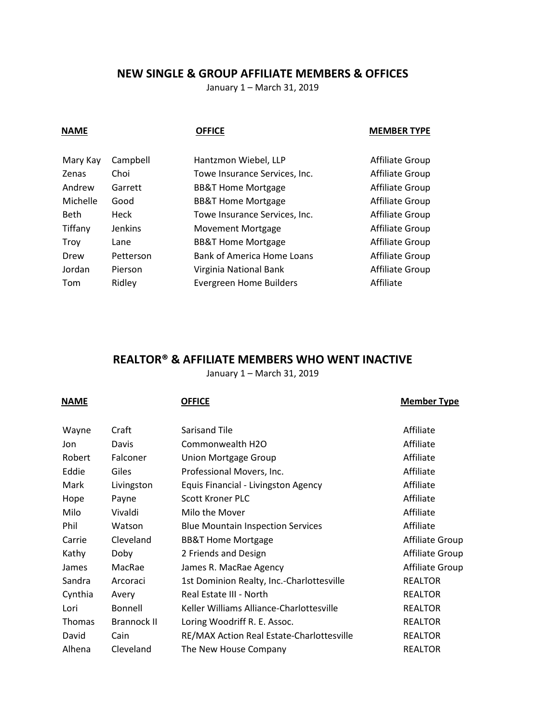# **NEW SINGLE & GROUP AFFILIATE MEMBERS & OFFICES**

January 1 – March 31, 2019

| <b>NAME</b>  |                | <b>OFFICE</b>                     | <b>MEMBER TYPE</b> |
|--------------|----------------|-----------------------------------|--------------------|
| Mary Kay     | Campbell       | Hantzmon Wiebel, LLP              | Affiliate Group    |
| <b>Zenas</b> | Choi           | Towe Insurance Services, Inc.     | Affiliate Group    |
| Andrew       | Garrett        | <b>BB&amp;T Home Mortgage</b>     | Affiliate Group    |
| Michelle     | Good           | <b>BB&amp;T Home Mortgage</b>     | Affiliate Group    |
| <b>Beth</b>  | Heck           | Towe Insurance Services, Inc.     | Affiliate Group    |
| Tiffany      | <b>Jenkins</b> | Movement Mortgage                 | Affiliate Group    |
| Troy         | Lane           | <b>BB&amp;T Home Mortgage</b>     | Affiliate Group    |
| Drew         | Petterson      | <b>Bank of America Home Loans</b> | Affiliate Group    |
| Jordan       | Pierson        | Virginia National Bank            | Affiliate Group    |
| Tom          | Ridley         | Evergreen Home Builders           | Affiliate          |

# **REALTOR® & AFFILIATE MEMBERS WHO WENT INACTIVE**

January 1 – March 31, 2019

| <b>NAME</b>   |                    | <b>OFFICE</b>                             | <b>Member Type</b> |
|---------------|--------------------|-------------------------------------------|--------------------|
| Wayne         | Craft              | Sarisand Tile                             | Affiliate          |
| Jon           | Davis              | Commonwealth H2O                          | Affiliate          |
| Robert        | Falconer           | <b>Union Mortgage Group</b>               | Affiliate          |
| Eddie         | Giles              | Professional Movers, Inc.                 | Affiliate          |
| Mark          | Livingston         | Equis Financial - Livingston Agency       | Affiliate          |
| Hope          | Payne              | Scott Kroner PLC                          | Affiliate          |
| Milo          | Vivaldi            | Milo the Mover                            | Affiliate          |
| Phil          | Watson             | <b>Blue Mountain Inspection Services</b>  | Affiliate          |
| Carrie        | Cleveland          | <b>BB&amp;T Home Mortgage</b>             | Affiliate Group    |
| Kathy         | Doby               | 2 Friends and Design                      | Affiliate Group    |
| James         | MacRae             | James R. MacRae Agency                    | Affiliate Group    |
| Sandra        | Arcoraci           | 1st Dominion Realty, Inc.-Charlottesville | <b>REALTOR</b>     |
| Cynthia       | Avery              | Real Estate III - North                   | <b>REALTOR</b>     |
| Lori          | Bonnell            | Keller Williams Alliance-Charlottesville  | <b>REALTOR</b>     |
| <b>Thomas</b> | <b>Brannock II</b> | Loring Woodriff R. E. Assoc.              | <b>REALTOR</b>     |
| David         | Cain               | RE/MAX Action Real Estate-Charlottesville | <b>REALTOR</b>     |
| Alhena        | Cleveland          | The New House Company                     | <b>REALTOR</b>     |